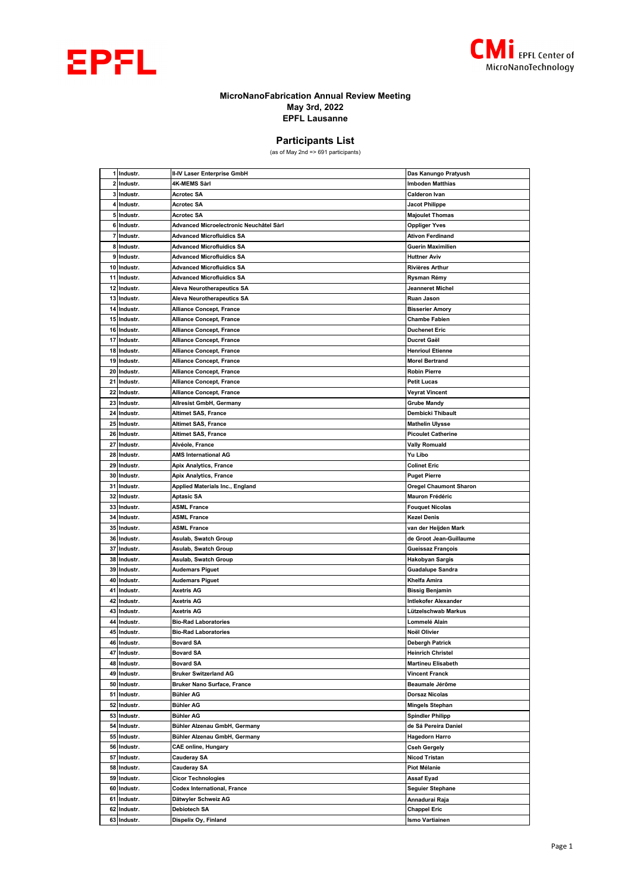



## **MicroNanoFabrication Annual Review Meeting May 3rd, 2022 EPFL Lausanne**

## **Participants List**

(as of May 2nd => 691 participants)

|    | 1 Industr.  | II-IV Laser Enterprise GmbH             | Das Kanungo Pratyush          |
|----|-------------|-----------------------------------------|-------------------------------|
| 2  | Industr.    | 4K-MEMS Sàrl                            | <b>Imboden Matthias</b>       |
|    | 3 Industr.  | <b>Acrotec SA</b>                       | <b>Calderon Ivan</b>          |
| 4  | Industr.    | <b>Acrotec SA</b>                       | <b>Jacot Philippe</b>         |
|    | 5 Industr.  | Acrotec SA                              | <b>Majoulet Thomas</b>        |
| 6  | Industr.    | Advanced Microelectronic Neuchâtel Sàrl | <b>Oppliger Yves</b>          |
| 7  | Industr.    | <b>Advanced Microfluidics SA</b>        | <b>Ativon Ferdinand</b>       |
|    | 8 Industr.  | <b>Advanced Microfluidics SA</b>        | <b>Guerin Maximilien</b>      |
| 9  | Industr.    | Advanced Microfluidics SA               | <b>Huttner Aviv</b>           |
|    | 10 Industr. | <b>Advanced Microfluidics SA</b>        | Rivières Arthur               |
| 11 | Industr.    | <b>Advanced Microfluidics SA</b>        | Rysman Rémy                   |
| 12 | Industr.    | <b>Aleva Neurotherapeutics SA</b>       | Jeanneret Michel              |
| 13 | Industr.    | Aleva Neurotherapeutics SA              | Ruan Jason                    |
|    | 14 Industr. | <b>Alliance Concept, France</b>         | <b>Bisserier Amory</b>        |
| 15 | Industr.    | <b>Alliance Concept, France</b>         | <b>Chambe Fabien</b>          |
| 16 | Industr.    | Alliance Concept, France                | <b>Duchenet Eric</b>          |
| 17 | Industr.    | <b>Alliance Concept, France</b>         | Ducret Gaël                   |
|    | 18 Industr. | <b>Alliance Concept, France</b>         | <b>Henrioul Etienne</b>       |
|    | 19 Industr. | <b>Alliance Concept, France</b>         | <b>Morel Bertrand</b>         |
| 20 | Industr.    | <b>Alliance Concept, France</b>         | <b>Robin Pierre</b>           |
| 21 | Industr.    | <b>Alliance Concept, France</b>         | <b>Petit Lucas</b>            |
| 22 | Industr.    | <b>Alliance Concept, France</b>         | <b>Veyrat Vincent</b>         |
| 23 | Industr.    | <b>Allresist GmbH, Germany</b>          | <b>Grube Mandy</b>            |
| 24 | Industr.    | <b>Altimet SAS, France</b>              | Dembicki Thibault             |
| 25 | Industr.    | <b>Altimet SAS, France</b>              | <b>Mathelin Ulysse</b>        |
|    | 26 Industr. | <b>Altimet SAS, France</b>              | <b>Picoulet Catherine</b>     |
| 27 | Industr.    | Alvéole, France                         | <b>Vally Romuald</b>          |
| 28 | Industr.    | AMS International AG                    | Yu Libo                       |
| 29 | Industr.    | Apix Analytics, France                  | <b>Colinet Eric</b>           |
| 30 | Industr.    | <b>Apix Analytics, France</b>           | <b>Puget Pierre</b>           |
| 31 | Industr.    | Applied Materials Inc., England         | <b>Oregel Chaumont Sharon</b> |
| 32 | Industr.    | Aptasic SA                              | Mauron Frédéric               |
|    | 33 Industr. | <b>ASML France</b>                      | <b>Fouquet Nicolas</b>        |
| 34 | Industr.    | ASML France                             | Kezel Denis                   |
| 35 | Industr.    | <b>ASML France</b>                      | van der Heijden Mark          |
|    | 36 Industr. | Asulab, Swatch Group                    | de Groot Jean-Guillaume       |
| 37 | Industr.    | Asulab, Swatch Group                    | Gueissaz François             |
| 38 | Industr.    | Asulab, Swatch Group                    | Hakobyan Sargis               |
| 39 | Industr.    | Audemars Piguet                         | Guadalupe Sandra              |
| 40 | Industr.    | <b>Audemars Piguet</b>                  | Khelfa Amira                  |
| 41 | Industr.    | Axetris AG                              | <b>Bissig Benjamin</b>        |
| 42 | Industr.    | Axetris AG                              | Intlekofer Alexander          |
|    | 43 Industr. | Axetris AG                              | Lützelschwab Markus           |
|    | 44 Industr. | <b>Bio-Rad Laboratories</b>             | Lommelé Alain                 |
| 45 | Industr.    | <b>Bio-Rad Laboratories</b>             | Noël Olivier                  |
|    | 46 Industr. | <b>Bovard SA</b>                        | Debergh Patrick               |
| 47 | Industr.    | <b>Bovard SA</b>                        | <b>Heinrich Christel</b>      |
| 48 | Industr.    | <b>Bovard SA</b>                        | <b>Martineu Elisabeth</b>     |
| 49 | Industr.    | <b>Bruker Switzerland AG</b>            | <b>Vincent Franck</b>         |
|    | 50 Industr. | <b>Bruker Nano Surface, France</b>      | Beaumale Jérôme               |
|    | 51 Industr. | Bühler AG                               | <b>Dorsaz Nicolas</b>         |
| 52 | Industr.    | <b>Bühler AG</b>                        | <b>Mingels Stephan</b>        |
|    | 53 Industr. | <b>Bühler AG</b>                        | <b>Spindler Philipp</b>       |
|    | 54 Industr. | Bühler Alzenau GmbH, Germany            | de Sá Pereira Daniel          |
|    | 55 Industr. | Bühler Alzenau GmbH, Germany            | <b>Hagedorn Harro</b>         |
| 56 | Industr.    | <b>CAE online, Hungary</b>              | <b>Cseh Gergely</b>           |
| 57 | Industr.    | <b>Cauderay SA</b>                      | Nicod Tristan                 |
|    | 58 Industr. | <b>Cauderay SA</b>                      | Piot Mélanie                  |
| 59 | Industr.    | <b>Cicor Technologies</b>               | Assaf Eyad                    |
| 60 | Industr.    | Codex International, France             | <b>Seguier Stephane</b>       |
|    | 61 Industr. | Dätwyler Schweiz AG                     | Annadurai Raja                |
|    | 62 Industr. | <b>Debiotech SA</b>                     | <b>Chappel Eric</b>           |
|    | 63 Industr. | Dispelix Oy, Finland                    | Ismo Vartiainen               |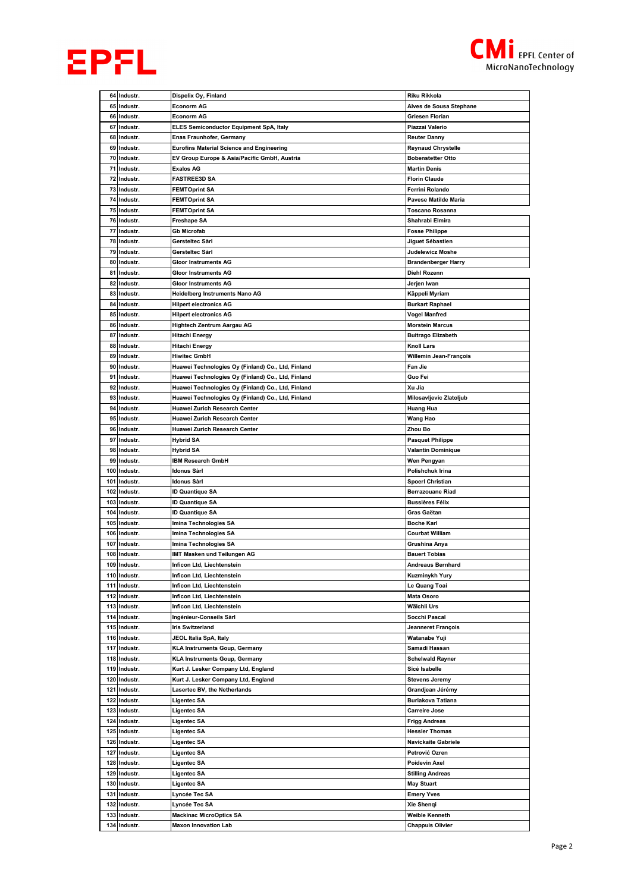



|     | 64 Industr.  | Dispelix Oy, Finland                               | Riku Rikkola               |
|-----|--------------|----------------------------------------------------|----------------------------|
|     | 65 Industr.  | Econorm AG                                         | Alves de Sousa Stephane    |
|     |              |                                                    |                            |
|     | 66 Industr.  | <b>Econorm AG</b>                                  | Griesen Florian            |
| 67  | Industr.     | <b>ELES Semiconductor Equipment SpA, Italy</b>     | Piazzai Valerio            |
| 68  | Industr.     | <b>Enas Fraunhofer, Germany</b>                    | <b>Reuter Danny</b>        |
|     | 69 Industr.  | <b>Eurofins Material Science and Engineering</b>   | <b>Reynaud Chrystelle</b>  |
|     | 70 Industr.  | EV Group Europe & Asia/Pacific GmbH, Austria       | <b>Bobenstetter Otto</b>   |
|     |              |                                                    |                            |
| 71  | Industr.     | Exalos AG                                          | <b>Martin Denis</b>        |
|     | 72 Industr.  | FASTREE3D SA                                       | <b>Florin Claude</b>       |
|     | 73 Industr.  | <b>FEMTOprint SA</b>                               | Ferrini Rolando            |
|     | 74 Industr.  | <b>FEMTOprint SA</b>                               | Pavese Matilde Maria       |
|     | 75 Industr.  | <b>FEMTOprint SA</b>                               | Toscano Rosanna            |
|     |              |                                                    |                            |
|     | 76 Industr.  | Freshape SA                                        | Shahrabi Elmira            |
|     | 77 Industr.  | Gb Microfab                                        | <b>Fosse Philippe</b>      |
|     | 78 Industr.  | Gersteltec Sàrl                                    | Jiguet Sébastien           |
|     | 79 Industr.  | Gersteltec Sàrl                                    | Judelewicz Moshe           |
|     | 80 Industr.  | Gloor Instruments AG                               | <b>Brandenberger Harry</b> |
|     |              |                                                    |                            |
|     | 81 Industr.  | Gloor Instruments AG                               | Diehl Rozenn               |
|     | 82 Industr.  | <b>Gloor Instruments AG</b>                        | Jerjen Iwan                |
|     | 83 Industr.  | Heidelberg Instruments Nano AG                     | Käppeli Myriam             |
|     | 84 Industr.  | <b>Hilpert electronics AG</b>                      | <b>Burkart Raphael</b>     |
| 85  | Industr.     | <b>Hilpert electronics AG</b>                      | Vogel Manfred              |
|     |              |                                                    |                            |
|     | 86 Industr.  | Hightech Zentrum Aargau AG                         | <b>Morstein Marcus</b>     |
|     | 87 Industr.  | Hitachi Energy                                     | <b>Buitrago Elizabeth</b>  |
| 88  | Industr.     | Hitachi Energy                                     | Knoll Lars                 |
|     | 89 Industr.  | Hiwitec GmbH                                       | Willemin Jean-François     |
|     | 90 Industr.  | Huawei Technologies Oy (Finland) Co., Ltd, Finland | Fan Jie                    |
|     |              |                                                    |                            |
|     | 91 Industr.  | Huawei Technologies Oy (Finland) Co., Ltd, Finland | Guo Fei                    |
|     | 92 Industr.  | Huawei Technologies Oy (Finland) Co., Ltd, Finland | Xu Jia                     |
|     | 93 Industr.  | Huawei Technologies Oy (Finland) Co., Ltd, Finland | Milosavljevic Zlatoljub    |
|     | 94 Industr.  | Huawei Zurich Research Center                      | Huang Hua                  |
| 95  | Industr.     | Huawei Zurich Research Center                      | Wang Hao                   |
|     |              |                                                    |                            |
|     | 96 Industr.  | Huawei Zurich Research Center                      | Zhou Bo                    |
|     | 97 Industr.  | Hybrid SA                                          | <b>Pasquet Philippe</b>    |
|     | 98 Industr.  | Hybrid SA                                          | Valantin Dominique         |
| 99  | Industr.     | <b>IBM Research GmbH</b>                           | Wen Pengyan                |
|     | 100 Industr. | ldonus Sàrl                                        | Polishchuk Irina           |
|     |              |                                                    |                            |
|     | 101 Industr. | Idonus Sàrl                                        | <b>Spoerl Christian</b>    |
|     | 102 Industr. | ID Quantique SA                                    | <b>Berrazouane Riad</b>    |
|     | 103 Industr. | <b>ID Quantique SA</b>                             | <b>Bussières Félix</b>     |
|     | 104 Industr. | <b>ID Quantique SA</b>                             | Gras Gaëtan                |
|     | 105 Industr. | Imina Technologies SA                              | <b>Boche Karl</b>          |
|     |              |                                                    |                            |
|     | 106 Industr. | Imina Technologies SA                              | <b>Courbat William</b>     |
| 107 | Industr.     | Imina Technologies SA                              | Grushina Anya              |
|     | 108 Industr. | IMT Masken und Teilungen AG                        | <b>Bauert Tobias</b>       |
|     | 109 Industr. | Inficon Ltd, Liechtenstein                         | Andreaus Bernhard          |
|     | 110 Industr. | Inficon Ltd, Liechtenstein                         | Kuzminykh Yury             |
|     |              |                                                    |                            |
|     | 111 Industr. | Inficon Ltd, Liechtenstein                         | Le Quang Toai              |
|     | 112 Industr. | Inficon Ltd, Liechtenstein                         | <b>Mata Osoro</b>          |
|     | 113 Industr. | Inficon Ltd, Liechtenstein                         | Wälchli Urs                |
|     | 114 Industr. | Ingénieur-Conseils Sàrl                            | Socchi Pascal              |
|     | 115 Industr. | Iris Switzerland                                   | Jeanneret François         |
|     |              |                                                    |                            |
|     | 116 Industr. | JEOL Italia SpA, Italy                             | Watanabe Yuji              |
|     | 117 Industr. | <b>KLA Instruments Goup, Germany</b>               | Samadi Hassan              |
|     | 118 Industr. | KLA Instruments Goup, Germany                      | Schelwald Rayner           |
|     | 119 Industr. | Kurt J. Lesker Company Ltd, England                | Sicé Isabelle              |
|     |              | Kurt J. Lesker Company Ltd, England                |                            |
|     | 120 Industr. |                                                    | <b>Stevens Jeremy</b>      |
| 121 | Industr.     | Lasertec BV, the Netherlands                       | Grandjean Jérémy           |
|     | 122 Industr. | Ligentec SA                                        | Buriakova Tatiana          |
|     | 123 Industr. | Ligentec SA                                        | <b>Carreire Jose</b>       |
|     | 124 Industr. | Ligentec SA                                        | Frigg Andreas              |
|     |              |                                                    |                            |
|     | 125 Industr. | Ligentec SA                                        | <b>Hessler Thomas</b>      |
|     | 126 Industr. | Ligentec SA                                        | Navickaite Gabriele        |
|     | 127 Industr. | Ligentec SA                                        | Petrović Ozren             |
|     | 128 Industr. | Ligentec SA                                        | Poidevin Axel              |
|     | 129 Industr. | Ligentec SA                                        | <b>Stilling Andreas</b>    |
|     |              |                                                    |                            |
|     | 130 Industr. | Ligentec SA                                        | <b>May Stuart</b>          |
|     | 131 Industr. | Lyncée Tec SA                                      | <b>Emery Yves</b>          |
| 132 | Industr.     | Lyncée Tec SA                                      | Xie Shenqi                 |
|     | 133 Industr. | <b>Mackinac MicroOptics SA</b>                     | Weible Kenneth             |
|     | 134 Industr. | <b>Maxon Innovation Lab</b>                        | <b>Chappuis Olivier</b>    |
|     |              |                                                    |                            |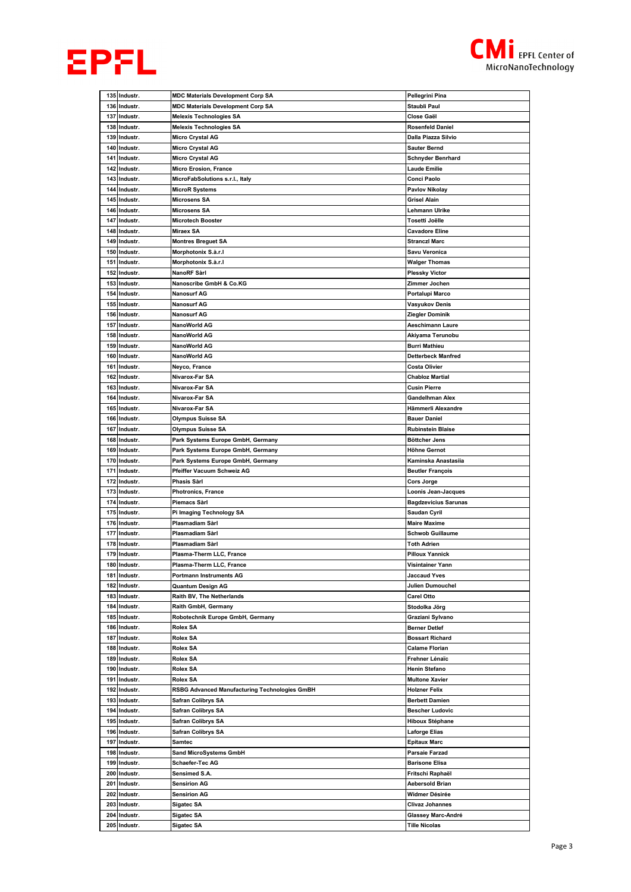



|            | 135 Industr.                 | <b>MDC Materials Development Corp SA</b>                        | Pellegrini Pina                                |
|------------|------------------------------|-----------------------------------------------------------------|------------------------------------------------|
|            | 136 Industr.                 | <b>MDC Materials Development Corp SA</b>                        | Staubli Paul                                   |
| 137        | Industr.                     | <b>Melexis Technologies SA</b>                                  | Close Gaël                                     |
| 138        | Industr.                     | <b>Melexis Technologies SA</b>                                  | Rosenfeld Daniel                               |
| 139        | Industr.                     | <b>Micro Crystal AG</b>                                         | Dalla Piazza Silvio                            |
|            | 140 Industr.                 | Micro Crystal AG                                                | <b>Sauter Bernd</b>                            |
| 141        | Industr.                     | <b>Micro Crystal AG</b>                                         | <b>Schnyder Benrhard</b>                       |
| 142        | Industr.                     | <b>Micro Erosion, France</b>                                    | Laude Emilie                                   |
|            | 143 Industr.                 | MicroFabSolutions s.r.l., Italy                                 | Conci Paolo                                    |
|            | 144 Industr.                 | <b>MicroR Systems</b>                                           | Pavlov Nikolay                                 |
|            | 145 Industr.                 | <b>Microsens SA</b>                                             | Grisel Alain                                   |
| 146        | Industr.                     | Microsens SA                                                    | Lehmann Ulrike                                 |
| 147        | Industr.                     | <b>Microtech Booster</b>                                        | Tosetti Joëlle                                 |
|            | 148 Industr.                 | <b>Miraex SA</b>                                                | <b>Cavadore Eline</b>                          |
| 149        | Industr.                     | <b>Montres Breguet SA</b>                                       | Stranczi Marc                                  |
| 150        | Industr.                     | Morphotonix S.à.r.I                                             | Savu Veronica                                  |
|            | 151 Industr.<br>152 Industr. | Morphotonix S.à.r.I<br>NanoRF Sàrl                              | Walger Thomas                                  |
| 153        | Industr.                     | Nanoscribe GmbH & Co.KG                                         | <b>Plessky Victor</b><br>Zimmer Jochen         |
| 154        | Industr.                     | Nanosurf AG                                                     | Portalupi Marco                                |
| 155        | Industr.                     | <b>Nanosurf AG</b>                                              | Vasyukov Denis                                 |
| 156        | Industr.                     | <b>Nanosurf AG</b>                                              | Ziegler Dominik                                |
| 157        | Industr.                     | NanoWorld AG                                                    | <b>Aeschimann Laure</b>                        |
|            | 158 Industr.                 | NanoWorld AG                                                    | Akiyama Terunobu                               |
| 159        | Industr.                     | NanoWorld AG                                                    | <b>Burri Mathieu</b>                           |
| 160        | Industr.                     | NanoWorld AG                                                    | Detterbeck Manfred                             |
| 161        | Industr.                     | Neyco, France                                                   | Costa Olivier                                  |
| 162        | Industr.                     | Nivarox-Far SA                                                  | <b>Chabloz Martial</b>                         |
| 163        | Industr.                     | Nivarox-Far SA                                                  | <b>Cusin Pierre</b>                            |
| 164        | Industr.                     | Nivarox-Far SA                                                  | Gandelhman Alex                                |
|            | 165 Industr.                 | Nivarox-Far SA                                                  | Hämmerli Alexandre                             |
|            | 166 Industr.                 | Olympus Suisse SA                                               | <b>Bauer Daniel</b>                            |
| 167        | Industr.                     | Olympus Suisse SA                                               | <b>Rubinstein Blaise</b>                       |
|            | 168 Industr.                 | Park Systems Europe GmbH, Germany                               | Böttcher Jens                                  |
| 169        | Industr.                     | Park Systems Europe GmbH, Germany                               | Höhne Gernot                                   |
| 170<br>171 | Industr.<br>Industr.         | Park Systems Europe GmbH, Germany<br>Pfeiffer Vacuum Schweiz AG | Kaminska Anastasiia<br><b>Beutler François</b> |
|            |                              |                                                                 |                                                |
|            |                              |                                                                 |                                                |
| 172        | Industr.                     | Phasis Sàrl                                                     | Cors Jorge                                     |
| 174        | 173 Industr.<br>Industr.     | <b>Photronics, France</b><br>Piemacs Sàrl                       | Loonis Jean-Jacques                            |
| 175        | Industr.                     | Pi Imaging Technology SA                                        | <b>Bagdzevicius Sarunas</b><br>Saudan Cyril    |
|            | 176 Industr.                 | Plasmadiam Sàrl                                                 | <b>Maire Maxime</b>                            |
|            | 177 Industr.                 | Plasmadiam Sàrl                                                 | <b>Schwob Guillaume</b>                        |
| 178        | Industr.                     | Plasmadiam Sàrl                                                 | <b>Toth Adrien</b>                             |
|            | 179 Industr.                 | Plasma-Therm LLC, France                                        | Pilloux Yannick                                |
|            | 180 Industr.                 | Plasma-Therm LLC, France                                        | Visintainer Yann                               |
| 181        | Industr.                     | <b>Portmann Instruments AG</b>                                  | <b>Jaccaud Yves</b>                            |
| 182        | Industr.                     | Quantum Design AG                                               | Julien Dumouchel                               |
|            | 183 Industr.                 | Raith BV, The Netherlands                                       | Carel Otto                                     |
|            | 184 Industr.                 | Raith GmbH, Germany                                             | Stodolka Jörg                                  |
| 185        | Industr.                     | Robotechnik Europe GmbH, Germany                                | Graziani Sylvano                               |
| 186        | Industr.                     | Rolex SA                                                        | <b>Berner Detlef</b>                           |
| 187        | Industr.                     | Rolex SA                                                        | <b>Bossart Richard</b>                         |
| 188<br>189 | Industr.<br>Industr.         | Rolex SA<br>Rolex SA                                            | <b>Calame Florian</b><br>Frehner Lénaïc        |
|            | 190 Industr.                 | Rolex SA                                                        | Henin Stefano                                  |
| 191        | Industr.                     | Rolex SA                                                        | <b>Multone Xavier</b>                          |
| 192        | Industr.                     | RSBG Advanced Manufacturing Technologies GmBH                   | Holzner Felix                                  |
| 193        | Industr.                     | Safran Colibrys SA                                              | <b>Berbett Damien</b>                          |
| 194        | Industr.                     | Safran Colibrys SA                                              | <b>Bescher Ludovic</b>                         |
| 195        | Industr.                     | Safran Colibrys SA                                              | Hiboux Stéphane                                |
| 196        | Industr.                     | Safran Colibrys SA                                              | Laforge Elias                                  |
| 197        | Industr.                     | Samtec                                                          | <b>Epitaux Marc</b>                            |
| 198        | Industr.                     | <b>Sand MicroSystems GmbH</b>                                   | Parsaie Farzad                                 |
| 199        | Industr.                     | Schaefer-Tec AG                                                 | <b>Barisone Elisa</b>                          |
| 200        | Industr.                     | Sensimed S.A.                                                   | Fritschi Raphaël                               |
| 201        | Industr.                     | <b>Sensirion AG</b>                                             | <b>Aebersold Brian</b>                         |
| 202        | Industr.                     | Sensirion AG                                                    | Widmer Désirée                                 |
| 203<br>204 | Industr.<br>Industr.         | <b>Sigatec SA</b><br><b>Sigatec SA</b>                          | <b>Clivaz Johannes</b><br>Glassey Marc-André   |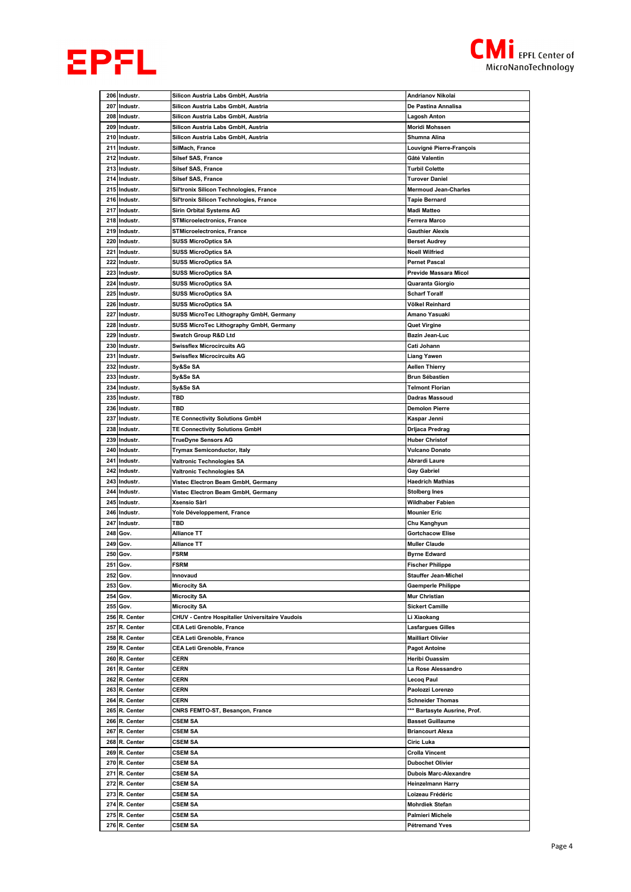



|     | 206 Industr.                   | Silicon Austria Labs GmbH, Austria              | Andrianov Nikolai                  |
|-----|--------------------------------|-------------------------------------------------|------------------------------------|
|     | 207 Industr.                   | Silicon Austria Labs GmbH, Austria              | De Pastina Annalisa                |
|     | 208 Industr.                   | Silicon Austria Labs GmbH, Austria              | Lagosh Anton                       |
| 209 | Industr.                       | Silicon Austria Labs GmbH, Austria              | Moridi Mohssen                     |
| 210 | Industr.                       | Silicon Austria Labs GmbH, Austria              | Shumna Alina                       |
|     |                                | SilMach, France                                 |                                    |
| 211 | Industr.                       |                                                 | Louvigné Pierre-François           |
| 212 | Industr.                       | <b>Silsef SAS, France</b>                       | Gâté Valentin                      |
| 213 | Industr.                       | <b>Silsef SAS, France</b>                       | <b>Turbil Colette</b>              |
|     | 214 Industr.                   | Silsef SAS, France                              | <b>Turover Daniel</b>              |
|     | 215 Industr.                   | Sil'tronix Silicon Technologies, France         | <b>Mermoud Jean-Charles</b>        |
| 216 | Industr.                       | Sil'tronix Silicon Technologies, France         | <b>Tapie Bernard</b>               |
|     | 217 Industr.                   | Sirin Orbital Systems AG                        | Madi Matteo                        |
|     | 218 Industr.                   | <b>STMicroelectronics, France</b>               | Ferrera Marco                      |
|     | 219 Industr.                   | <b>STMicroelectronics, France</b>               | <b>Gauthier Alexis</b>             |
|     | 220 Industr.                   | <b>SUSS MicroOptics SA</b>                      | <b>Berset Audrey</b>               |
| 221 | Industr.                       | <b>SUSS MicroOptics SA</b>                      | Noell Wilfried                     |
| 222 | Industr.                       | <b>SUSS MicroOptics SA</b>                      | <b>Pernet Pascal</b>               |
| 223 | Industr.                       | <b>SUSS MicroOptics SA</b>                      | Previde Massara Micol              |
| 224 | Industr.                       | <b>SUSS MicroOptics SA</b>                      | Quaranta Giorgio                   |
|     |                                |                                                 | <b>Scharf Toralf</b>               |
|     | 225 Industr.                   | <b>SUSS MicroOptics SA</b>                      |                                    |
|     | 226 Industr.                   | <b>SUSS MicroOptics SA</b>                      | Völkel Reinhard                    |
| 227 | Industr.                       | SUSS MicroTec Lithography GmbH, Germany         | Amano Yasuaki                      |
|     | 228 Industr.                   | SUSS MicroTec Lithography GmbH, Germany         | Quet Virgine                       |
|     | 229 Industr.                   | Swatch Group R&D Ltd                            | Bazin Jean-Luc                     |
| 230 | Industr.                       | <b>Swissflex Microcircuits AG</b>               | Cati Johann                        |
|     | 231 Industr.                   | <b>Swissflex Microcircuits AG</b>               | Liang Yawen                        |
| 232 | Industr.                       | Sy&Se SA                                        | Aellen Thierry                     |
|     | 233 Industr.                   | Sy&Se SA                                        | Brun Sébastien                     |
| 234 | Industr.                       | Sy&Se SA                                        | <b>Telmont Florian</b>             |
|     | 235 Industr.                   | TBD                                             | Dadras Massoud                     |
|     | 236 Industr.                   | TBD                                             | <b>Demolon Pierre</b>              |
| 237 | Industr.                       | TE Connectivity Solutions GmbH                  | Kaspar Jenni                       |
| 238 | Industr.                       | <b>TE Connectivity Solutions GmbH</b>           | Drijaca Predrag                    |
|     | 239 Industr.                   | TrueDyne Sensors AG                             | <b>Huber Christof</b>              |
|     | 240 Industr.                   |                                                 | <b>Vulcano Donato</b>              |
|     |                                | <b>Trymax Semiconductor, Italy</b>              |                                    |
| 241 | Industr.                       | Valtronic Technologies SA                       | Abrardi Laure                      |
|     | 242 Industr.                   | Valtronic Technologies SA                       | Gay Gabriel                        |
| 243 | Industr.                       | Vistec Electron Beam GmbH, Germany              | <b>Haedrich Mathias</b>            |
|     | 244 Industr.                   | Vistec Electron Beam GmbH, Germany              | Stolberg Ines                      |
|     | 245 Industr.                   | Xsensio Sàrl                                    | Wildhaber Fabien                   |
|     | 246 Industr.                   | Yole Développement, France                      | <b>Mounier Eric</b>                |
|     | 247 Industr.                   | TBD                                             | Chu Kanghyun                       |
| 248 | Gov.                           | Alliance TT                                     | <b>Gortchacow Elise</b>            |
| 249 | Gov.                           | Alliance TT                                     | <b>Muller Claude</b>               |
|     | 250 Gov.                       | <b>FSRM</b>                                     | <b>Byrne Edward</b>                |
| 251 | Gov.                           | <b>FSRM</b>                                     | <b>Fischer Philippe</b>            |
| 252 | Gov.                           | Innovaud                                        | <b>Stauffer Jean-Michel</b>        |
| 253 | Gov.                           | <b>Microcity SA</b>                             | <b>Gaemperle Philippe</b>          |
|     | 254 Gov.                       | <b>Microcity SA</b>                             | Mur Christian                      |
|     | 255 Gov.                       | <b>Microcity SA</b>                             | <b>Sickert Camille</b>             |
|     | 256 R. Center                  | CHUV - Centre Hospitalier Universitaire Vaudois | Li Xiaokang                        |
| 257 | R. Center                      | CEA Leti Grenoble, France                       | <b>Lasfargues Gilles</b>           |
|     | 258 R. Center                  | CEA Leti Grenoble, France                       | <b>Mailliart Olivier</b>           |
|     |                                |                                                 | <b>Pagot Antoine</b>               |
|     | 259 R. Center                  | CEA Leti Grenoble, France                       |                                    |
|     | 260 R. Center                  | <b>CERN</b>                                     | Heribi Ouassim                     |
|     | 261 R. Center                  | CERN                                            | La Rose Alessandro                 |
|     | 262 R. Center                  | <b>CERN</b>                                     | Lecoq Paul                         |
| 263 | R. Center                      | <b>CERN</b>                                     | Paolozzi Lorenzo                   |
|     | 264 R. Center                  | <b>CERN</b>                                     | <b>Schneider Thomas</b>            |
|     | 265 R. Center                  | CNRS FEMTO-ST, Besançon, France                 | *** Bartasyte Ausrine, Prof.       |
|     |                                | <b>CSEM SA</b>                                  | <b>Basset Guillaume</b>            |
|     | 266 R. Center                  |                                                 |                                    |
|     | 267 R. Center                  | <b>CSEM SA</b>                                  | <b>Briancourt Alexa</b>            |
|     | 268 R. Center                  | <b>CSEM SA</b>                                  | Ciric Luka                         |
|     | 269 R. Center                  | CSEM SA                                         | Crolla Vincent                     |
|     | 270 R. Center                  | <b>CSEM SA</b>                                  | <b>Dubochet Olivier</b>            |
|     | 271 R. Center                  | CSEM SA                                         | <b>Dubois Marc-Alexandre</b>       |
|     |                                |                                                 |                                    |
|     | 272 R. Center                  | CSEM SA                                         | <b>Heinzelmann Harry</b>           |
|     | 273 R. Center                  | CSEM SA                                         | Loizeau Frédéric                   |
|     | 274 R. Center                  | <b>CSEM SA</b>                                  | <b>Mohrdiek Stefan</b>             |
|     | 275 R. Center<br>276 R. Center | <b>CSEM SA</b><br>CSEM SA                       | Palmieri Michele<br>Pétremand Yves |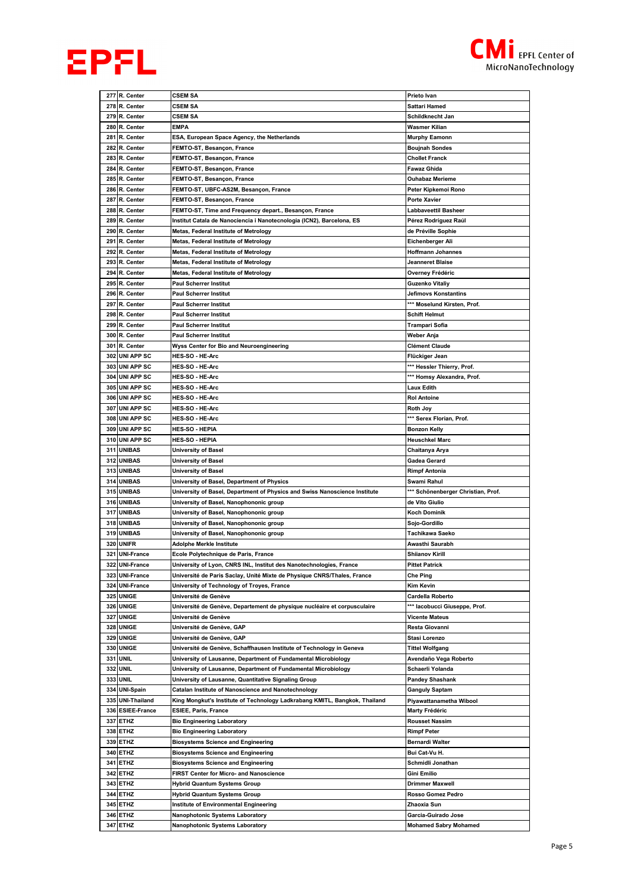



|            | 277 R. Center                       | <b>CSEM SA</b>                                                             | Prieto Ivan                                         |
|------------|-------------------------------------|----------------------------------------------------------------------------|-----------------------------------------------------|
| 278        | R. Center                           | <b>CSEM SA</b>                                                             | Sattari Hamed                                       |
|            | 279 R. Center                       | <b>CSEM SA</b>                                                             | Schildknecht Jan                                    |
|            | 280 R. Center                       | <b>EMPA</b>                                                                | Wasmer Kilian                                       |
| 281        | R. Center                           | ESA, European Space Agency, the Netherlands                                | <b>Murphy Eamonn</b>                                |
|            | 282 R. Center                       | FEMTO-ST, Besançon, France                                                 | <b>Boujnah Sondes</b>                               |
|            | 283 R. Center                       | FEMTO-ST, Besançon, France                                                 | <b>Chollet Franck</b>                               |
| 284        | R. Center                           | FEMTO-ST, Besançon, France                                                 | Fawaz Ghida                                         |
|            | 285 R. Center                       | FEMTO-ST, Besançon, France                                                 | <b>Ouhabaz Merieme</b>                              |
|            | 286 R. Center                       | FEMTO-ST, UBFC-AS2M, Besançon, France                                      | Peter Kipkemoi Rono                                 |
|            | 287 R. Center                       | FEMTO-ST, Besançon, France                                                 | Porte Xavier                                        |
| 288        | R. Center                           | FEMTO-ST, Time and Frequency depart., Besancon, France                     | Labbaveettil Basheer                                |
| 289        | R. Center                           | Institut Catala de Nanociencia i Nanotecnologia (ICN2), Barcelona, ES      | Pérez Rodríguez Raúl                                |
|            | 290 R. Center                       | Metas, Federal Institute of Metrology                                      | de Préville Sophie                                  |
| 291        | R. Center                           | Metas, Federal Institute of Metrology                                      | Eichenberger Ali                                    |
| 292        | R. Center                           | Metas, Federal Institute of Metrology                                      | <b>Hoffmann Johannes</b>                            |
|            | 293 R. Center                       | Metas, Federal Institute of Metrology                                      | Jeanneret Blaise                                    |
|            | 294 R. Center                       | Metas, Federal Institute of Metrology                                      | Overney Frédéric                                    |
|            | 295 R. Center                       | <b>Paul Scherrer Institut</b>                                              | Guzenko Vitaliy                                     |
|            | 296 R. Center                       | <b>Paul Scherrer Institut</b>                                              | Jefimovs Konstantins                                |
| 297        | R. Center                           | <b>Paul Scherrer Institut</b>                                              | *** Moselund Kirsten, Prof.                         |
|            | 298 R. Center                       | <b>Paul Scherrer Institut</b>                                              | Schift Helmut                                       |
|            | 299 R. Center                       | <b>Paul Scherrer Institut</b>                                              | Trampari Sofia                                      |
|            | 300 R. Center                       | <b>Paul Scherrer Institut</b>                                              | Weber Anja                                          |
| 301        | R. Center                           | Wyss Center for Bio and Neuroengineering                                   | <b>Clément Claude</b>                               |
| 302        | <b>UNI APP SC</b>                   | HES-SO - HE-Arc                                                            | Flückiger Jean                                      |
| 303        | <b>UNI APP SC</b>                   | <b>HES-SO - HE-Arc</b>                                                     | *** Hessler Thierry, Prof.                          |
|            | 304 UNI APP SC                      | <b>HES-SO - HE-Arc</b>                                                     | *** Homsy Alexandra, Prof.                          |
|            | 305 UNI APP SC                      | <b>HES-SO - HE-Arc</b>                                                     | Laux Edith                                          |
| 306        | <b>UNI APP SC</b>                   | <b>HES-SO - HE-Arc</b>                                                     | <b>Rol Antoine</b>                                  |
| 307        | <b>UNI APP SC</b>                   | <b>HES-SO - HE-Arc</b>                                                     | Roth Joy                                            |
|            | 308 UNI APP SC                      | <b>HES-SO - HE-Arc</b>                                                     | *** Serex Florian, Prof.                            |
| 309        | <b>UNI APP SC</b>                   | HES-SO - HEPIA                                                             | <b>Bonzon Kelly</b>                                 |
| 310        | <b>UNI APP SC</b>                   | <b>HES-SO - HEPIA</b>                                                      | <b>Heuschkel Marc</b>                               |
| 311        | <b>UNIBAS</b>                       | University of Basel                                                        | Chaitanya Arya                                      |
| 312        | <b>UNIBAS</b>                       | University of Basel                                                        | Gadea Gerard                                        |
|            |                                     |                                                                            |                                                     |
| 313        | <b>UNIBAS</b>                       | <b>University of Basel</b>                                                 | <b>Rimpf Antonia</b>                                |
| 314        | <b>UNIBAS</b>                       | University of Basel, Department of Physics                                 | Swami Rahul                                         |
|            | 315 UNIBAS                          | University of Basel, Department of Physics and Swiss Nanoscience Institute | *** Schönenberger Christian, Prof.                  |
| 316        | <b>UNIBAS</b>                       | University of Basel, Nanophononic group                                    | de Vito Giulio                                      |
| 317        | <b>UNIBAS</b>                       | University of Basel, Nanophononic group                                    | <b>Koch Dominik</b>                                 |
|            | 318 UNIBAS                          | University of Basel, Nanophononic group                                    | Sojo-Gordillo                                       |
|            | 319 UNIBAS                          | University of Basel, Nanophononic group                                    | Tachikawa Saeko                                     |
| 320        | <b>UNIFR</b>                        | Adolphe Merkle Institute                                                   | Awasthi Saurabh                                     |
| 321        | <b>UNI-France</b><br>322 UNI-France | Ecole Polytechnique de Paris, France                                       | <b>Shiianov Kirill</b><br><b>Pittet Patrick</b>     |
|            | 323 UNI-France                      | University of Lyon, CNRS INL, Institut des Nanotechnologies, France        | Che Ping                                            |
|            |                                     | Université de Paris Saclay, Unité Mixte de Physique CNRS/Thales, France    |                                                     |
| 324<br>325 | <b>UNI-France</b><br><b>UNIGE</b>   | University of Technology of Troyes, France<br>Université de Genève         | Kim Kevin<br>Cardella Roberto                       |
|            | 326 UNIGE                           | Université de Genève, Departement de physique nucléaire et corpusculaire   | *** lacobucci Giuseppe, Prof.                       |
| 327        | <b>UNIGE</b>                        | Université de Genève                                                       | Vicente Mateus                                      |
| 328        | <b>UNIGE</b>                        | Université de Genève, GAP                                                  | Resta Giovanni                                      |
| 329        | <b>UNIGE</b>                        | Université de Genève, GAP                                                  | Stasi Lorenzo                                       |
|            | 330 UNIGE                           | Université de Genève, Schaffhausen Institute of Technology in Geneva       | <b>Tittel Wolfgang</b>                              |
| 331        | <b>UNIL</b>                         | University of Lausanne, Department of Fundamental Microbiology             | Avendaño Vega Roberto                               |
| 332        | <b>UNIL</b>                         | University of Lausanne, Department of Fundamental Microbiology             | Schaerli Yolanda                                    |
| 333        | <b>UNIL</b>                         | University of Lausanne, Quantitative Signaling Group                       | <b>Pandey Shashank</b>                              |
| 334        | <b>UNI-Spain</b>                    | Catalan Institute of Nanoscience and Nanotechnology                        | Ganguly Saptam                                      |
|            | 335 UNI-Thailand                    | King Mongkut's Institute of Technology Ladkrabang KMITL, Bangkok, Thailand | Piyawattanametha Wibool                             |
|            | 336 ESIEE-France                    | ESIEE, Paris, France                                                       | Marty Frédéric                                      |
|            | 337 ETHZ                            | <b>Bio Engineering Laboratory</b>                                          | <b>Rousset Nassim</b>                               |
|            | 338 ETHZ                            | <b>Bio Engineering Laboratory</b>                                          | <b>Rimpf Peter</b>                                  |
|            | 339 ETHZ                            | <b>Biosystems Science and Engineering</b>                                  | Bernardi Walter                                     |
|            | 340 ETHZ                            | <b>Biosystems Science and Engineering</b>                                  | Bui Cat-Vu H.                                       |
| 341        | <b>ETHZ</b>                         | <b>Biosystems Science and Engineering</b>                                  | Schmidli Jonathan                                   |
| 342        | <b>ETHZ</b>                         | FIRST Center for Micro- and Nanoscience                                    | Gini Emilio                                         |
|            | 343 ETHZ                            | Hybrid Quantum Systems Group                                               | Drimmer Maxwell                                     |
|            | 344 ETHZ                            | Hybrid Quantum Systems Group                                               | Rosso Gomez Pedro                                   |
| 345        | <b>ETHZ</b>                         | <b>Institute of Environmental Engineering</b>                              | Zhaoxia Sun                                         |
|            | 346 ETHZ<br>347 ETHZ                | Nanophotonic Systems Laboratory<br>Nanophotonic Systems Laboratory         | Garcia-Guirado Jose<br><b>Mohamed Sabry Mohamed</b> |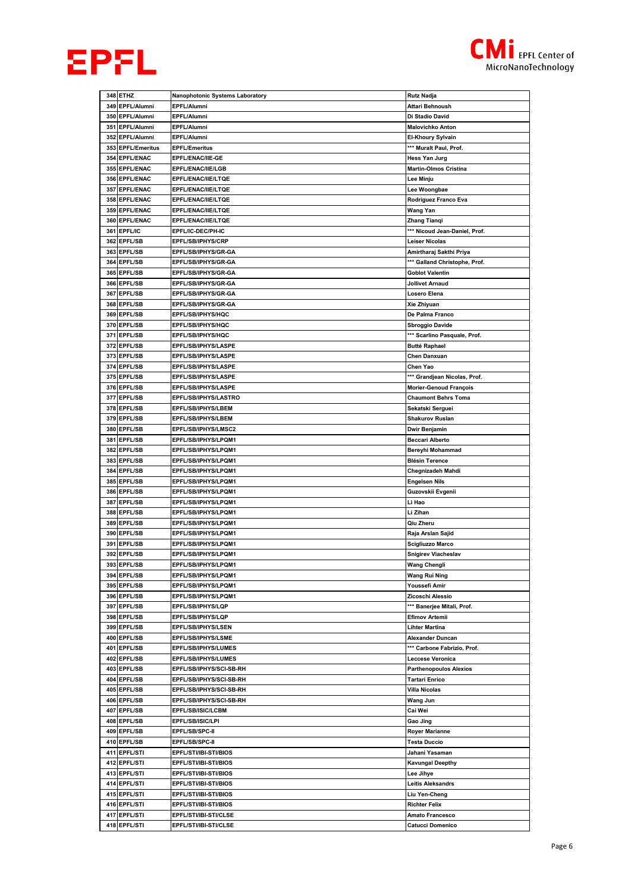



|     | 348 ETHZ           | Nanophotonic Systems Laboratory | <b>Rutz Nadja</b>             |
|-----|--------------------|---------------------------------|-------------------------------|
|     |                    |                                 |                               |
|     | 349 EPFL/Alumni    | EPFL/Alumni                     | Attari Behnoush               |
|     | 350 EPFL/Alumni    | EPFL/Alumni                     | Di Stadio David               |
| 351 | EPFL/Alumni        | EPFL/Alumni                     | <b>Malovichko Anton</b>       |
| 352 | <b>EPFL/Alumni</b> | EPFL/Alumni                     | El-Khoury Sylvain             |
|     |                    |                                 |                               |
|     | 353 EPFL/Emeritus  | <b>EPFL/Emeritus</b>            | *** Muralt Paul, Prof.        |
|     | 354 EPFL/ENAC      | EPFL/ENAC/IIE-GE                | Hess Yan Jurg                 |
|     | 355 EPFL/ENAC      | EPFL/ENAC/IIE/LGB               | Martin-Olmos Cristina         |
|     | 356 EPFL/ENAC      | EPFL/ENAC/IIE/LTQE              | Lee Minju                     |
|     |                    |                                 |                               |
| 357 | <b>EPFL/ENAC</b>   | EPFL/ENAC/IIE/LTQE              | Lee Woongbae                  |
|     | 358 EPFL/ENAC      | EPFL/ENAC/IIE/LTQE              | Rodriguez Franco Eva          |
|     | 359 EPFL/ENAC      | EPFL/ENAC/IIE/LTQE              | Wang Yan                      |
|     | 360 EPFL/ENAC      | EPFL/ENAC/IIE/LTQE              | Zhang Tianqi                  |
|     |                    |                                 |                               |
|     | 361 EPFL/IC        | EPFL/IC-DEC/PH-IC               | *** Nicoud Jean-Daniel, Prof. |
|     | 362 EPFL/SB        | EPFL/SB/IPHYS/CRP               | Leiser Nicolas                |
|     | 363 EPFL/SB        | EPFL/SB/IPHYS/GR-GA             | Amirtharaj Sakthi Priya       |
|     | 364 EPFL/SB        | EPFL/SB/IPHYS/GR-GA             | *** Galland Christophe, Prof. |
|     |                    |                                 |                               |
|     | 365 EPFL/SB        | EPFL/SB/IPHYS/GR-GA             | <b>Goblot Valentin</b>        |
|     | 366 EPFL/SB        | EPFL/SB/IPHYS/GR-GA             | Jollivet Arnaud               |
| 367 | EPFL/SB            | EPFL/SB/IPHYS/GR-GA             | Losero Elena                  |
|     | 368 EPFL/SB        |                                 |                               |
|     |                    | EPFL/SB/IPHYS/GR-GA             | Xie Zhiyuan                   |
| 369 | <b>EPFL/SB</b>     | EPFL/SB/IPHYS/HQC               | De Palma Franco               |
|     | 370 EPFL/SB        | EPFL/SB/IPHYS/HQC               | Sbroggio Davide               |
|     | 371 EPFL/SB        | EPFL/SB/IPHYS/HQC               | *** Scarlino Pasquale, Prof.  |
|     |                    |                                 |                               |
|     | 372 EPFL/SB        | EPFL/SB/IPHYS/LASPE             | <b>Butté Raphael</b>          |
|     | 373 EPFL/SB        | EPFL/SB/IPHYS/LASPE             | Chen Danxuan                  |
|     | 374 EPFL/SB        | EPFL/SB/IPHYS/LASPE             | Chen Yao                      |
|     | 375 EPFL/SB        | EPFL/SB/IPHYS/LASPE             | *** Grandjean Nicolas, Prof.  |
|     |                    |                                 |                               |
|     | 376 EPFL/SB        | <b>EPFL/SB/IPHYS/LASPE</b>      | <b>Morier-Genoud François</b> |
| 377 | EPFL/SB            | EPFL/SB/IPHYS/LASTRO            | <b>Chaumont Behrs Toma</b>    |
|     | 378 EPFL/SB        | EPFL/SB/IPHYS/LBEM              | Sekatski Serguei              |
|     | 379 EPFL/SB        | EPFL/SB/IPHYS/LBEM              | <b>Shakurov Ruslan</b>        |
|     |                    |                                 |                               |
| 380 | <b>EPFL/SB</b>     | EPFL/SB/IPHYS/LMSC2             | Dwir Benjamin                 |
|     | 381 EPFL/SB        | EPFL/SB/IPHYS/LPQM1             | Beccari Alberto               |
|     | 382 EPFL/SB        | EPFL/SB/IPHYS/LPQM1             | Bereyhi Mohammad              |
| 383 | EPFL/SB            | <b>EPFL/SB/IPHYS/LPQM1</b>      | <b>Blésin Terence</b>         |
|     |                    |                                 |                               |
|     | 384 EPFL/SB        | EPFL/SB/IPHYS/LPQM1             | Chegnizadeh Mahdi             |
|     | 385 EPFL/SB        | EPFL/SB/IPHYS/LPQM1             | Engelsen Nils                 |
|     | 386 EPFL/SB        | EPFL/SB/IPHYS/LPQM1             | Guzovskii Evgenii             |
| 387 | <b>EPFL/SB</b>     | EPFL/SB/IPHYS/LPQM1             | Li Hao                        |
|     |                    |                                 |                               |
|     | 388 EPFL/SB        | EPFL/SB/IPHYS/LPQM1             | Li Zihan                      |
|     | 389 EPFL/SB        | EPFL/SB/IPHYS/LPQM1             | Qiu Zheru                     |
|     | 390 EPFL/SB        | EPFL/SB/IPHYS/LPQM1             |                               |
| 391 | <b>EPFL/SB</b>     |                                 |                               |
|     |                    |                                 | Raja Arslan Sajid             |
|     |                    | EPFL/SB/IPHYS/LPQM1             | Scigliuzzo Marco              |
|     | 392 EPFL/SB        | EPFL/SB/IPHYS/LPQM1             | <b>Snigirev Viacheslav</b>    |
|     | 393 EPFL/SB        | EPFL/SB/IPHYS/LPQM1             | <b>Wang Chengli</b>           |
|     | 394 EPFL/SB        | EPFL/SB/IPHYS/LPQM1             | Wang Rui Ning                 |
|     |                    |                                 |                               |
|     | 395 EPFL/SB        | EPFL/SB/IPHYS/LPQM1             | Youssefi Amir                 |
|     | 396 EPFL/SB        | EPFL/SB/IPHYS/LPQM1             | Zicoschi Alessio              |
|     | 397 EPFL/SB        | EPFL/SB/IPHYS/LQP               | *** Banerjee Mitali, Prof.    |
|     | 398 EPFL/SB        | EPFL/SB/IPHYS/LQP               | <b>Efimov Artemii</b>         |
|     |                    |                                 |                               |
|     | 399 EPFL/SB        | EPFL/SB/IPHYS/LSEN              | Lihter Martina                |
|     | 400 EPFL/SB        | EPFL/SB/IPHYS/LSME              | Alexander Duncan              |
| 401 | EPFL/SB            | EPFL/SB/IPHYS/LUMES             | *** Carbone Fabrizio, Prof.   |
| 402 | <b>EPFL/SB</b>     | EPFL/SB/IPHYS/LUMES             | Leccese Veronica              |
|     |                    |                                 |                               |
|     | 403 EPFL/SB        | EPFL/SB/IPHYS/SCI-SB-RH         | <b>Parthenopoulos Alexios</b> |
|     | 404 EPFL/SB        | EPFL/SB/IPHYS/SCI-SB-RH         | Tartari Enrico                |
|     | 405 EPFL/SB        | EPFL/SB/IPHYS/SCI-SB-RH         | Villa Nicolas                 |
|     | 406 EPFL/SB        | EPFL/SB/IPHYS/SCI-SB-RH         | Wang Jun                      |
|     |                    |                                 |                               |
|     | 407 EPFL/SB        | EPFL/SB/ISIC/LCBM               | Cai Wei                       |
|     | 408 EPFL/SB        | EPFL/SB/ISIC/LPI                | Gao Jing                      |
|     | 409 EPFL/SB        | EPFL/SB/SPC-II                  | Royer Marianne                |
| 410 | <b>EPFL/SB</b>     | EPFL/SB/SPC-II                  | Testa Duccio                  |
|     |                    |                                 |                               |
|     | 411 EPFL/STI       | EPFL/STI/IBI-STI/BIOS           | Jahani Yasaman                |
|     | 412 EPFL/STI       | EPFL/STI/IBI-STI/BIOS           | <b>Kavungal Deepthy</b>       |
|     | 413 EPFL/STI       | EPFL/STI/IBI-STI/BIOS           | Lee Jihye                     |
|     | 414 EPFL/STI       | EPFL/STI/IBI-STI/BIOS           | <b>Leitis Aleksandrs</b>      |
|     |                    |                                 |                               |
|     | 415 EPFL/STI       | <b>EPFL/STI/IBI-STI/BIOS</b>    | Liu Yen-Cheng                 |
|     | 416 EPFL/STI       | EPFL/STI/IBI-STI/BIOS           | <b>Richter Felix</b>          |
|     | 417 EPFL/STI       | EPFL/STI/IBI-STI/CLSE           | Amato Francesco               |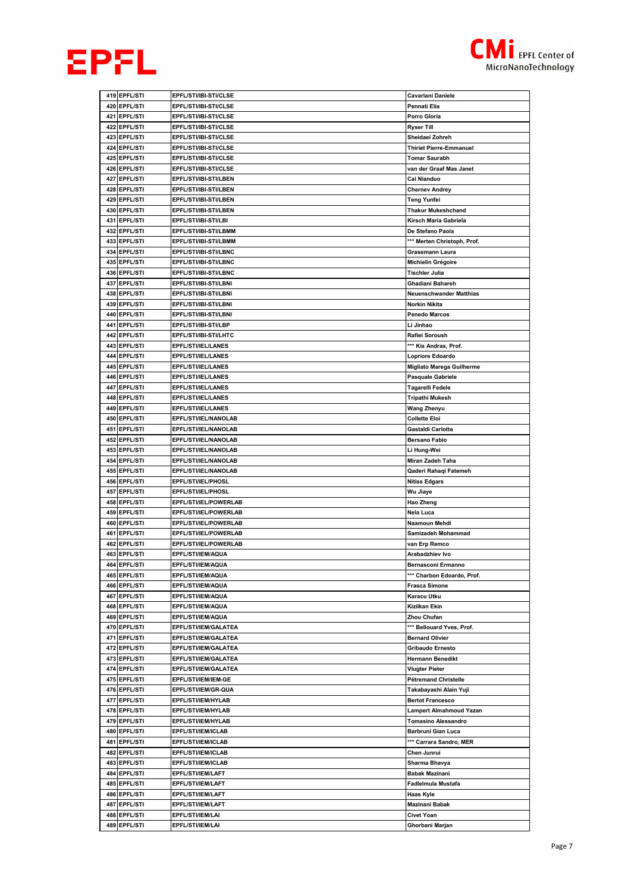



|     | 419 EPFL/STI                    | EPFL/STI/IBI-STI/CLSE                             | Cavariani Daniele                             |
|-----|---------------------------------|---------------------------------------------------|-----------------------------------------------|
|     | 420 EPFL/STI                    | EPFL/STI/IBI-STI/CLSE                             | Pennati Elia                                  |
|     | 421 EPFL/STI                    | <b>EPFL/STI/IBI-STI/CLSE</b>                      | Porro Gloria                                  |
|     | 422 EPFL/STI                    | EPFL/STI/IBI-STI/CLSE                             | Ryser Till                                    |
|     | 423 EPFL/STI                    | <b>EPFL/STI/IBI-STI/CLSE</b>                      | Sheidaei Zohreh                               |
|     | 424 EPFL/STI                    | EPFL/STI/IBI-STI/CLSE                             | <b>Thiriet Pierre-Emmanuel</b>                |
|     | 425 EPFL/STI                    | <b>EPFL/STI/IBI-STI/CLSE</b>                      | <b>Tomar Saurabh</b>                          |
|     | 426 EPFL/STI                    | EPFL/STI/IBI-STI/CLSE                             | van der Graaf Mas Janet                       |
| 427 | <b>EPFL/STI</b>                 | EPFL/STI/IBI-STI/LBEN                             | Cai Nianduo                                   |
|     | 428 EPFL/STI                    | EPFL/STI/IBI-STI/LBEN                             | <b>Chernev Andrey</b>                         |
|     | 429 EPFL/STI                    | EPFL/STI/IBI-STI/LBEN                             | Teng Yunfei                                   |
|     | 430 EPFL/STI                    | EPFL/STI/IBI-STI/LBEN                             | <b>Thakur Mukeshchand</b>                     |
|     | 431 EPFL/STI                    | EPFL/STI/IBI-STI/LBI                              | Kirsch Maria Gabriela                         |
|     | 432 EPFL/STI                    | EPFL/STI/IBI-STI/LBMM                             | De Stefano Paola                              |
|     | 433 EPFL/STI                    | EPFL/STI/IBI-STI/LBMM                             | *** Merten Christoph, Prof.                   |
| 434 | <b>EPFL/STI</b>                 | EPFL/STI/IBI-STI/LBNC                             | Grasemann Laura                               |
|     | 435 EPFL/STI                    | EPFL/STI/IBI-STI/LBNC                             | Michielin Grégoire                            |
|     | 436 EPFL/STI                    | EPFL/STI/IBI-STI/LBNC                             | Tischler Julia                                |
|     | 437 EPFL/STI                    | EPFL/STI/IBI-STI/LBNI                             | Ghadiani Bahareh                              |
|     | 438 EPFL/STI                    | EPFL/STI/IBI-STI/LBNI                             | Neuenschwander Matthias                       |
|     | 439 EPFL/STI                    | EPFL/STI/IBI-STI/LBNI                             | Norkin Nikita                                 |
|     | 440 EPFL/STI                    | EPFL/STI/IBI-STI/LBNI                             | <b>Penedo Marcos</b>                          |
|     | 441 EPFL/STI                    | EPFL/STI/IBI-STI/LBP                              | Li Jinhao                                     |
| 442 | <b>EPFL/STI</b>                 | EPFL/STI/IBI-STI/LHTC                             | Rafiei Soroush                                |
|     | 443 EPFL/STI                    | EPFL/STI/IEL/LANES                                | *** Kis Andras, Prof.                         |
|     | 444 EPFL/STI                    | EPFL/STI/IEL/LANES                                | Lopriore Edoardo                              |
|     | 445 EPFL/STI<br>446 EPFL/STI    | <b>EPFL/STI/IEL/LANES</b>                         | Migliato Marega Guilherme                     |
| 447 |                                 | <b>EPFL/STI/IEL/LANES</b><br>EPFL/STI/IEL/LANES   | <b>Pasquale Gabriele</b>                      |
|     | <b>EPFL/STI</b><br>448 EPFL/STI |                                                   | Tagarelli Fedele                              |
|     | 449 EPFL/STI                    | <b>EPFL/STI/IEL/LANES</b><br>EPFL/STI/IEL/LANES   | Tripathi Mukesh<br>Wang Zhenyu                |
|     | 450 EPFL/STI                    | <b>EPFL/STI/IEL/NANOLAB</b>                       | Collette Eloi                                 |
|     | 451 EPFL/STI                    | EPFL/STI/IEL/NANOLAB                              | Gastaldi Carlotta                             |
| 452 | <b>EPFL/STI</b>                 | EPFL/STI/IEL/NANOLAB                              | Bersano Fabio                                 |
| 453 | <b>EPFL/STI</b>                 | EPFL/STI/IEL/NANOLAB                              | Li Hung-Wei                                   |
|     | 454 EPFL/STI                    | EPFL/STI/IEL/NANOLAB                              | Miran Zadeh Taha                              |
|     |                                 |                                                   |                                               |
|     |                                 |                                                   |                                               |
| 456 | 455 EPFL/STI<br><b>EPFL/STI</b> | <b>EPFL/STI/IEL/NANOLAB</b><br>EPFL/STI/IEL/PHOSL | Qaderi Rahaqi Fatemeh<br><b>Nitiss Edgars</b> |
|     | 457 EPFL/STI                    | <b>EPFL/STI/IEL/PHOSL</b>                         | Wu Jiaye                                      |
|     | 458 EPFL/STI                    | EPFL/STI/IEL/POWERLAB                             | Hao Zheng                                     |
| 459 | <b>EPFL/STI</b>                 | EPFL/STI/IEL/POWERLAB                             | Nela Luca                                     |
|     | 460 EPFL/STI                    | EPFL/STI/IEL/POWERLAB                             | Naamoun Mehdi                                 |
|     | 461 EPFL/STI                    | EPFL/STI/IEL/POWERLAB                             | Samizadeh Mohammad                            |
|     | 462 EPFL/STI                    | EPFL/STI/IEL/POWERLAB                             | van Erp Remco                                 |
|     | 463 EPFL/STI                    | EPFL/STI/IEM/AQUA                                 | Arabadzhiev Ivo                               |
|     | 464 EPFL/STI                    | EPFL/STI/IEM/AQUA                                 | Bernasconi Ermanno                            |
|     | 465 EPFL/STI                    | EPFL/STI/IEM/AQUA                                 | *** Charbon Edoardo, Prof.                    |
|     | 466 EPFL/STI                    | EPFL/STI/IEM/AQUA                                 | <b>Frasca Simone</b>                          |
|     | 467 EPFL/STI                    | EPFL/STI/IEM/AQUA                                 | Karacu Utku                                   |
|     | 468 EPFL/STI                    | EPFL/STI/IEM/AQUA                                 | Kizilkan Ekin                                 |
|     | 469 EPFL/STI                    | EPFL/STI/IEM/AQUA                                 | Zhou Chufan                                   |
|     | 470 EPFL/STI                    | EPFL/STI/IEM/GALATEA                              | *** Bellouard Yves, Prof.                     |
|     | 471 EPFL/STI                    | EPFL/STI/IEM/GALATEA                              | <b>Bernard Olivier</b>                        |
|     | 472 EPFL/STI                    | EPFL/STI/IEM/GALATEA                              | Gribaudo Ernesto                              |
|     | 473 EPFL/STI                    | EPFL/STI/IEM/GALATEA                              | Hermann Benedikt                              |
|     | 474 EPFL/STI                    | EPFL/STI/IEM/GALATEA                              | Vlugter Pieter                                |
|     | 475 EPFL/STI                    | EPFL/STI/IEM/IEM-GE                               | Pétremand Christelle                          |
|     | 476 EPFL/STI                    | EPFL/STI/IEM/GR-QUA                               | Takabayashi Alain Yuji                        |
| 477 | <b>EPFL/STI</b>                 | EPFL/STI/IEM/HYLAB                                | <b>Bertot Francesco</b>                       |
|     | 478 EPFL/STI                    | EPFL/STI/IEM/HYLAB                                | Lampert Almahmoud Yazan                       |
|     | 479 EPFL/STI                    | EPFL/STI/IEM/HYLAB                                | <b>Tomasino Alessandro</b>                    |
|     | 480 EPFL/STI                    | EPFL/STI/IEM/ICLAB                                | Barbruni Gian Luca                            |
|     | 481 EPFL/STI                    | EPFL/STI/IEM/ICLAB                                | *** Carrara Sandro, MER                       |
|     | 482 EPFL/STI                    | <b>EPFL/STI/IEM/ICLAB</b>                         | Chen Junrui                                   |
|     | 483 EPFL/STI                    | <b>EPFL/STI/IEM/ICLAB</b>                         | Sharma Bhavya                                 |
|     | 484 EPFL/STI<br>485 EPFL/STI    | EPFL/STI/IEM/LAFT<br>EPFL/STI/IEM/LAFT            | Babak Mazinani<br>Fadlelmula Mustafa          |
|     | 486 EPFL/STI                    | <b>EPFL/STI/IEM/LAFT</b>                          | Haas Kyle                                     |
|     | 487 EPFL/STI                    | EPFL/STI/IEM/LAFT                                 | Mazinani Babak                                |
|     | 488 EPFL/STI                    | EPFL/STI/IEM/LAI                                  | Civet Yoan                                    |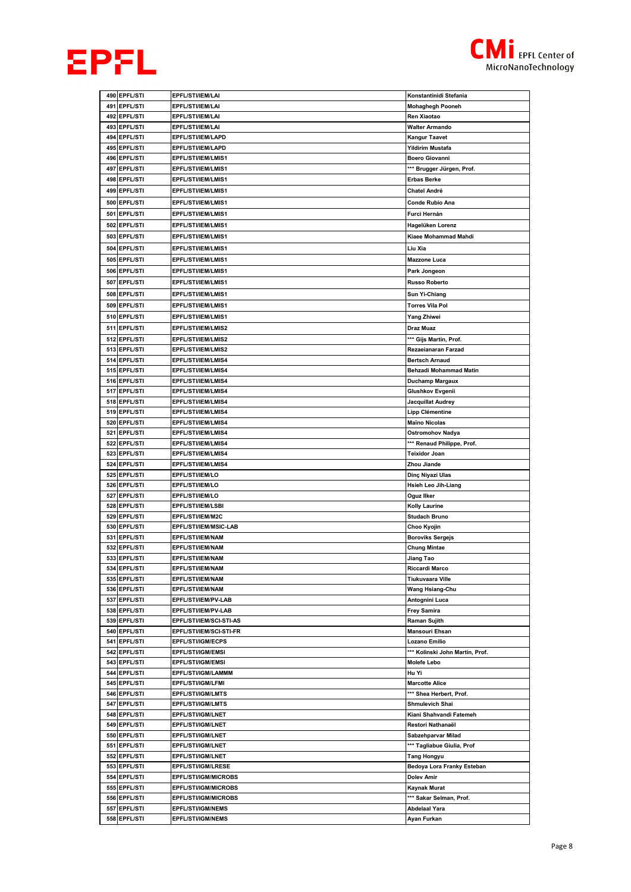



|     | 490 EPFL/STI                    | EPFL/STI/IEM/LAI                              | Konstantinidi Stefania          |
|-----|---------------------------------|-----------------------------------------------|---------------------------------|
| 491 | <b>EPFL/STI</b>                 | EPFL/STI/IEM/LAI                              | <b>Mohaghegh Pooneh</b>         |
| 492 | <b>EPFL/STI</b>                 | EPFL/STI/IEM/LAI                              | Ren Xiaotao                     |
| 493 | <b>EPFL/STI</b>                 | <b>EPFL/STI/IEM/LAI</b>                       | <b>Walter Armando</b>           |
| 494 | <b>EPFL/STI</b>                 | <b>EPFL/STI/IEM/LAPD</b>                      | Kangur Taavet                   |
| 495 | <b>EPFL/STI</b>                 | <b>EPFL/STI/IEM/LAPD</b>                      | Yildirim Mustafa                |
| 496 | <b>EPFL/STI</b>                 | EPFL/STI/IEM/LMIS1                            | <b>Boero Giovanni</b>           |
| 497 | <b>EPFL/STI</b>                 | <b>EPFL/STI/IEM/LMIS1</b>                     | *** Brugger Jürgen, Prof.       |
| 498 | <b>EPFL/STI</b>                 | EPFL/STI/IEM/LMIS1                            | <b>Erbas Berke</b>              |
|     | 499 EPFL/STI                    | EPFL/STI/IEM/LMIS1                            | Chatel André                    |
| 500 | <b>EPFL/STI</b>                 | EPFL/STI/IEM/LMIS1                            | Conde Rubio Ana                 |
| 501 | <b>EPFL/STI</b>                 | EPFL/STI/IEM/LMIS1                            | Furci Hernán                    |
| 502 | <b>EPFL/STI</b>                 | EPFL/STI/IEM/LMIS1                            | Hagelüken Lorenz                |
| 503 | <b>EPFL/STI</b>                 | EPFL/STI/IEM/LMIS1                            | Kiaee Mohammad Mahdi            |
|     |                                 |                                               |                                 |
|     | 504 EPFL/STI                    | EPFL/STI/IEM/LMIS1                            | Liu Xia                         |
| 505 | <b>EPFL/STI</b>                 | EPFL/STI/IEM/LMIS1                            | <b>Mazzone Luca</b>             |
| 506 | <b>EPFL/STI</b>                 | EPFL/STI/IEM/LMIS1                            | Park Jongeon                    |
| 507 | <b>EPFL/STI</b>                 | EPFL/STI/IEM/LMIS1                            | <b>Russo Roberto</b>            |
| 508 | <b>EPFL/STI</b>                 | EPFL/STI/IEM/LMIS1                            | Sun Yi-Chiang                   |
|     | 509 EPFL/STI                    | EPFL/STI/IEM/LMIS1                            | <b>Torres Vila Pol</b>          |
| 510 | <b>EPFL/STI</b>                 | EPFL/STI/IEM/LMIS1                            | Yang Zhiwei                     |
| 511 | <b>EPFL/STI</b>                 | EPFL/STI/IEM/LMIS2                            | Draz Muaz                       |
|     | 512 EPFL/STI                    | <b>EPFL/STI/IEM/LMIS2</b>                     | *** Gijs Martin, Prof.          |
|     | 513 EPFL/STI                    | EPFL/STI/IEM/LMIS2                            | Rezaeianaran Farzad             |
| 514 | <b>EPFL/STI</b>                 | EPFL/STI/IEM/LMIS4                            | <b>Bertsch Arnaud</b>           |
|     | 515 EPFL/STI                    | EPFL/STI/IEM/LMIS4                            | Behzadi Mohammad Matin          |
| 516 | <b>EPFL/STI</b>                 | EPFL/STI/IEM/LMIS4                            | Duchamp Margaux                 |
| 517 | <b>EPFL/STI</b>                 | <b>EPFL/STI/IEM/LMIS4</b>                     | Glushkov Evgenii                |
|     | 518 EPFL/STI                    | EPFL/STI/IEM/LMIS4                            | Jacquillat Audrey               |
| 519 | <b>EPFL/STI</b>                 | <b>EPFL/STI/IEM/LMIS4</b>                     | Lipp Clémentine                 |
|     | 520 EPFL/STI                    | <b>EPFL/STI/IEM/LMIS4</b>                     | <b>Maïno Nicolas</b>            |
| 521 | <b>EPFL/STI</b>                 | <b>EPFL/STI/IEM/LMIS4</b>                     | Ostromohov Nadya                |
| 522 | <b>EPFL/STI</b>                 | <b>EPFL/STI/IEM/LMIS4</b>                     | *** Renaud Philippe, Prof.      |
| 523 | <b>EPFL/STI</b>                 | EPFL/STI/IEM/LMIS4                            | Teixidor Joan                   |
|     | 524 EPFL/STI                    | EPFL/STI/IEM/LMIS4                            | Zhou Jiande                     |
| 525 | <b>EPFL/STI</b>                 | <b>EPFL/STI/IEM/LO</b>                        | Dinç Niyazi Ulas                |
|     | 526 EPFL/STI                    | <b>EPFL/STI/IEM/LO</b>                        | <b>Hsieh Leo Jih-Liang</b>      |
| 527 | <b>EPFL/STI</b>                 | <b>EPFL/STI/IEM/LO</b>                        | Oguz Ilker                      |
| 528 | <b>EPFL/STI</b>                 | <b>EPFL/STI/IEM/LSBI</b>                      | Kolly Laurine                   |
| 529 | <b>EPFL/STI</b>                 | <b>EPFL/STI/IEM/M2C</b>                       | <b>Studach Bruno</b>            |
| 530 | <b>EPFL/STI</b>                 | EPFL/STI/IEM/MSIC-LAB                         | Choo Kyojin                     |
| 531 | <b>EPFL/STI</b>                 | <b>EPFL/STI/IEM/NAM</b>                       | <b>Boroviks Sergejs</b>         |
| 532 | <b>EPFL/STI</b>                 | <b>EPFL/STI/IEM/NAM</b>                       | Chung Mintae                    |
| 533 | <b>EPFL/STI</b>                 | <b>EPFL/STI/IEM/NAM</b>                       | Jiang Tao                       |
|     | 534 EPFL/STI                    | <b>EPFL/STI/IEM/NAM</b>                       | Riccardi Marco                  |
|     | 535 EPFL/STI                    | <b>EPFL/STI/IEM/NAM</b>                       | Tiukuvaara Ville                |
|     | 536 EPFL/STI                    | <b>EPFL/STI/IEM/NAM</b>                       | Wang Hsiang-Chu                 |
|     | 537 EPFL/STI                    | EPFL/STI/IEM/PV-LAB                           | Antognini Luca                  |
|     | 538 EPFL/STI                    | EPFL/STI/IEM/PV-LAB                           | <b>Frey Samira</b>              |
| 539 | <b>EPFL/STI</b><br>540 EPFL/STI | EPFL/STI/IEM/SCI-STI-AS                       | Raman Sujith                    |
|     |                                 | EPFL/STI/IEM/SCI-STI-FR                       | Mansouri Ehsan                  |
|     | 541 EPFL/STI                    | <b>EPFL/STI/IGM/ECPS</b>                      | Lozano Emilio                   |
|     | 542 EPFL/STI                    | EPFL/STI/IGM/EMSI<br><b>EPFL/STI/IGM/EMSI</b> | *** Kolinski John Martin, Prof. |
|     | 543 EPFL/STI<br>544 EPFL/STI    | EPFL/STI/IGM/LAMMM                            | <b>Molefe Lebo</b>              |
|     | 545 EPFL/STI                    | EPFL/STI/IGM/LFMI                             | Hu Yi<br><b>Marcotte Alice</b>  |
|     | 546 EPFL/STI                    | <b>EPFL/STI/IGM/LMTS</b>                      | *** Shea Herbert, Prof.         |
| 547 | <b>EPFL/STI</b>                 | EPFL/STI/IGM/LMTS                             | Shmulevich Shai                 |
|     | 548 EPFL/STI                    | <b>EPFL/STI/IGM/LNET</b>                      | Kiani Shahvandi Fatemeh         |
|     | 549 EPFL/STI                    | <b>EPFL/STI/IGM/LNET</b>                      | Restori Nathanaël               |
|     | 550 EPFL/STI                    | <b>EPFL/STI/IGM/LNET</b>                      | Sabzehparvar Milad              |
|     | 551 EPFL/STI                    | <b>EPFL/STI/IGM/LNET</b>                      | *** Tagliabue Giulia, Prof      |
|     | 552 EPFL/STI                    | <b>EPFL/STI/IGM/LNET</b>                      | <b>Tang Hongyu</b>              |
| 553 | <b>EPFL/STI</b>                 | <b>EPFL/STI/IGM/LRESE</b>                     | Bedoya Lora Franky Esteban      |
|     | 554 EPFL/STI                    | <b>EPFL/STI/IGM/MICROBS</b>                   | Dolev Amir                      |
|     | 555 EPFL/STI                    | <b>EPFL/STI/IGM/MICROBS</b>                   | Kaynak Murat                    |
|     | 556 EPFL/STI                    | <b>EPFL/STI/IGM/MICROBS</b>                   | *** Sakar Selman, Prof.         |
|     | 557 EPFL/STI                    | <b>EPFL/STI/IGM/NEMS</b>                      | <b>Abdelaal Yara</b>            |
|     | 558 EPFL/STI                    | <b>EPFL/STI/IGM/NEMS</b>                      | Ayan Furkan                     |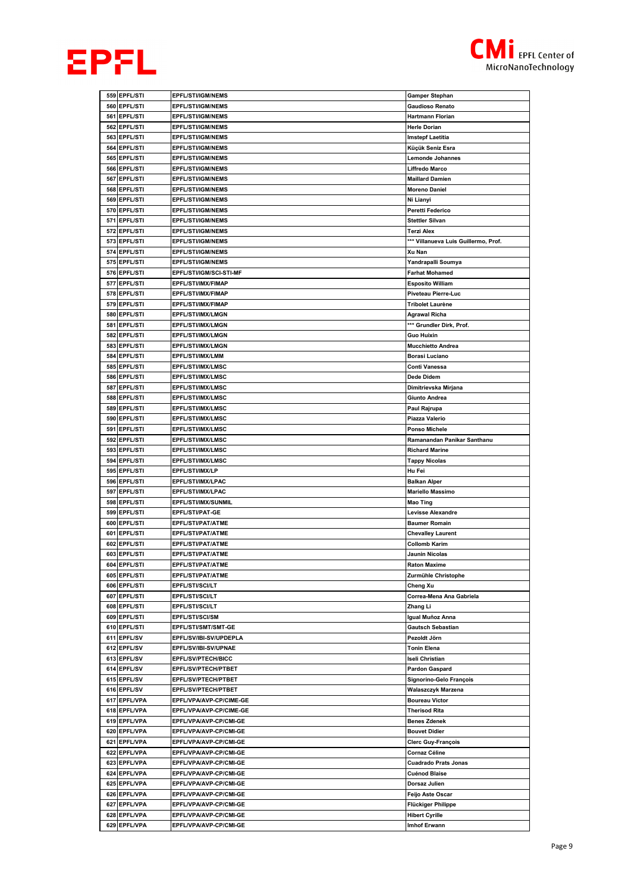



|     | 559 EPFL/STI                    | <b>EPFL/STI/IGM/NEMS</b>                      | <b>Gamper Stephan</b>                        |
|-----|---------------------------------|-----------------------------------------------|----------------------------------------------|
| 560 | <b>EPFL/STI</b>                 | <b>EPFL/STI/IGM/NEMS</b>                      | <b>Gaudioso Renato</b>                       |
|     | 561 EPFL/STI                    | <b>EPFL/STI/IGM/NEMS</b>                      | Hartmann Florian                             |
| 562 | <b>EPFL/STI</b>                 | <b>EPFL/STI/IGM/NEMS</b>                      | <b>Herle Dorian</b>                          |
| 563 | <b>EPFL/STI</b>                 | <b>EPFL/STI/IGM/NEMS</b>                      | <b>Imstepf Laetitia</b>                      |
|     | 564 EPFL/STI                    | <b>EPFL/STI/IGM/NEMS</b>                      | Küçük Seniz Esra                             |
|     | 565 EPFL/STI                    | <b>EPFL/STI/IGM/NEMS</b>                      | <b>Lemonde Johannes</b>                      |
|     | 566 EPFL/STI                    | <b>EPFL/STI/IGM/NEMS</b>                      | Liffredo Marco                               |
| 567 | <b>EPFL/STI</b>                 | <b>EPFL/STI/IGM/NEMS</b>                      | <b>Maillard Damien</b>                       |
|     | 568 EPFL/STI                    | <b>EPFL/STI/IGM/NEMS</b>                      | <b>Moreno Daniel</b>                         |
|     | 569 EPFL/STI                    | <b>EPFL/STI/IGM/NEMS</b>                      | Ni Lianyi                                    |
| 570 | <b>EPFL/STI</b>                 | <b>EPFL/STI/IGM/NEMS</b>                      | Peretti Federico                             |
| 571 | <b>EPFL/STI</b>                 | <b>EPFL/STI/IGM/NEMS</b>                      | <b>Stettler Silvan</b>                       |
| 572 | <b>EPFL/STI</b>                 | <b>EPFL/STI/IGM/NEMS</b>                      | Terzi Alex                                   |
|     | 573 EPFL/STI                    | <b>EPFL/STI/IGM/NEMS</b>                      | *** Villanueva Luis Guillermo, Prof.         |
|     | 574 EPFL/STI                    | <b>EPFL/STI/IGM/NEMS</b>                      | Xu Nan                                       |
|     | 575 EPFL/STI                    | <b>EPFL/STI/IGM/NEMS</b>                      | Yandrapalli Soumya                           |
|     | 576 EPFL/STI                    | EPFL/STI/IGM/SCI-STI-MF                       | <b>Farhat Mohamed</b>                        |
|     | 577 EPFL/STI                    | EPFL/STI/IMX/FIMAP                            | <b>Esposito William</b>                      |
|     | 578 EPFL/STI                    | EPFL/STI/IMX/FIMAP                            | Piveteau Pierre-Luc                          |
| 579 | <b>EPFL/STI</b>                 | EPFL/STI/IMX/FIMAP                            | Tribolet Laurène                             |
|     | 580 EPFL/STI                    | EPFL/STI/IMX/LMGN                             | Agrawal Richa                                |
|     | 581 EPFL/STI                    | <b>EPFL/STI/IMX/LMGN</b>                      | *** Grundler Dirk, Prof.                     |
| 582 | <b>EPFL/STI</b>                 | <b>EPFL/STI/IMX/LMGN</b>                      | Guo Huixin                                   |
|     | 583 EPFL/STI                    | EPFL/STI/IMX/LMGN                             | <b>Mucchietto Andrea</b>                     |
|     | 584 EPFL/STI                    | EPFL/STI/IMX/LMM                              | Borasi Luciano                               |
| 585 | <b>EPFL/STI</b>                 | EPFL/STI/IMX/LMSC                             | Conti Vanessa                                |
|     | 586 EPFL/STI                    | <b>EPFL/STI/IMX/LMSC</b>                      | Dede Didem                                   |
| 587 | <b>EPFL/STI</b>                 | EPFL/STI/IMX/LMSC                             | Dimitrievska Mirjana                         |
| 588 | <b>EPFL/STI</b>                 | <b>EPFL/STI/IMX/LMSC</b>                      | Giunto Andrea                                |
| 589 | <b>EPFL/STI</b>                 | EPFL/STI/IMX/LMSC                             | Paul Rajrupa                                 |
| 590 | <b>EPFL/STI</b>                 | EPFL/STI/IMX/LMSC                             | Piazza Valerio                               |
|     | 591 EPFL/STI                    | EPFL/STI/IMX/LMSC                             | Ponso Michele                                |
|     | 592 EPFL/STI                    | EPFL/STI/IMX/LMSC                             | Ramanandan Panikar Santhanu                  |
|     | 593 EPFL/STI                    | EPFL/STI/IMX/LMSC                             | <b>Richard Marine</b>                        |
|     | 594 EPFL/STI                    | EPFL/STI/IMX/LMSC                             | <b>Tappy Nicolas</b>                         |
| 595 | <b>EPFL/STI</b>                 | <b>EPFL/STI/IMX/LP</b>                        | Hu Fei                                       |
| 596 | <b>EPFL/STI</b>                 | EPFL/STI/IMX/LPAC                             | <b>Balkan Alper</b>                          |
| 597 | <b>EPFL/STI</b>                 | EPFL/STI/IMX/LPAC                             | <b>Mariello Massimo</b>                      |
|     |                                 |                                               |                                              |
|     | 598 EPFL/STI                    | EPFL/STI/IMX/SUNMIL                           | <b>Mao Ting</b>                              |
| 599 | <b>EPFL/STI</b>                 | EPFL/STI/PAT-GE                               | <b>Levisse Alexandre</b>                     |
|     | 600 EPFL/STI                    | EPFL/STI/PAT/ATME                             | <b>Baumer Romain</b>                         |
|     | 601 EPFL/STI                    | EPFL/STI/PAT/ATME                             | <b>Chevalley Laurent</b>                     |
| 602 | <b>EPFL/STI</b>                 | EPFL/STI/PAT/ATME                             | Collomb Karim                                |
|     | 603 EPFL/STI                    | EPFL/STI/PAT/ATME                             | Jaunin Nicolas                               |
|     | 604 EPFL/STI                    | EPFL/STI/PAT/ATME                             | <b>Raton Maxime</b>                          |
|     | 605 EPFL/STI                    | EPFL/STI/PAT/ATME                             | Zurmühle Christophe                          |
| 606 | <b>EPFL/STI</b>                 | EPFL/STI/SCI/LT                               | Cheng Xu                                     |
| 607 | <b>EPFL/STI</b>                 | EPFL/STI/SCI/LT                               | Correa-Mena Ana Gabriela                     |
|     | 608 EPFL/STI                    | <b>EPFL/STI/SCI/LT</b>                        | Zhang Li                                     |
| 610 | 609 EPFL/STI<br><b>EPFL/STI</b> | <b>EPFL/STI/SCI/SM</b><br>EPFL/STI/SMT/SMT-GE | Igual Muñoz Anna<br><b>Gautsch Sebastian</b> |
|     | 611 EPFL/SV                     | EPFL/SV/IBI-SV/UPDEPLA                        | Pezoldt Jörn                                 |
|     |                                 | EPFL/SV/IBI-SV/UPNAE                          | <b>Tonin Elena</b>                           |
|     | 612 EPFL/SV<br>613 EPFL/SV      | <b>EPFL/SV/PTECH/BICC</b>                     | Iseli Christian                              |
|     | 614 EPFL/SV                     | EPFL/SV/PTECH/PTBET                           | <b>Pardon Gaspard</b>                        |
|     | 615 EPFL/SV                     | EPFL/SV/PTECH/PTBET                           | Signorino-Gelo François                      |
|     | 616 EPFL/SV                     | EPFL/SV/PTECH/PTBET                           | Walaszczyk Marzena                           |
|     | 617 EPFL/VPA                    | EPFL/VPA/AVP-CP/CIME-GE                       | <b>Boureau Victor</b>                        |
|     | 618 EPFL/VPA                    | EPFL/VPA/AVP-CP/CIME-GE                       | Therisod Rita                                |
|     | 619 EPFL/VPA                    | EPFL/VPA/AVP-CP/CMI-GE                        | <b>Benes Zdenek</b>                          |
| 620 | <b>EPFL/VPA</b>                 | EPFL/VPA/AVP-CP/CMI-GE                        | <b>Bouvet Didier</b>                         |
| 621 | <b>EPFL/VPA</b>                 | EPFL/VPA/AVP-CP/CMI-GE                        | <b>Clerc Guy-François</b>                    |
|     | 622 EPFL/VPA                    | <b>EPFL/VPA/AVP-CP/CMI-GE</b>                 | Cornaz Céline                                |
|     | 623 EPFL/VPA                    | EPFL/VPA/AVP-CP/CMI-GE                        | <b>Cuadrado Prats Jonas</b>                  |
|     | 624 EPFL/VPA                    | EPFL/VPA/AVP-CP/CMI-GE                        | Cuénod Blaise                                |
|     | 625 EPFL/VPA                    | EPFL/VPA/AVP-CP/CMI-GE                        | Dorsaz Julien                                |
|     | 626 EPFL/VPA                    | EPFL/VPA/AVP-CP/CMI-GE                        | Feijo Aste Oscar                             |
| 627 | <b>EPFL/VPA</b>                 | EPFL/VPA/AVP-CP/CMI-GE                        | Flückiger Philippe                           |
| 628 | <b>EPFL/VPA</b>                 | EPFL/VPA/AVP-CP/CMI-GE                        | <b>Hibert Cyrille</b>                        |